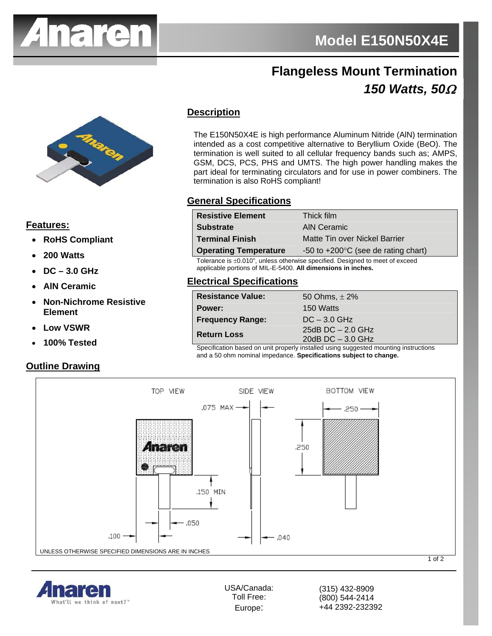

# **Flangeless Mount Termination 150 Watts, 50Ω**



### **Features:**

- x **RoHS Compliant**
- x **200 Watts**
- x **DC 3.0 GHz**
- x **AlN Ceramic**
- x **Non-Nichrome Resistive Element**
- **Low VSWR**
- x **100% Tested**

#### **Outline Drawing**

# **Description**

The E150N50X4E is high performance Aluminum Nitride (AlN) termination intended as a cost competitive alternative to Beryllium Oxide (BeO). The termination is well suited to all cellular frequency bands such as; AMPS, GSM, DCS, PCS, PHS and UMTS. The high power handling makes the part ideal for terminating circulators and for use in power combiners. The termination is also RoHS compliant!

#### **General Specifications**

| <b>Resistive Element</b>                                                     | Thick film                                    |
|------------------------------------------------------------------------------|-----------------------------------------------|
| <b>Substrate</b>                                                             | AIN Ceramic                                   |
| <b>Terminal Finish</b>                                                       | Matte Tin over Nickel Barrier                 |
| <b>Operating Temperature</b>                                                 | -50 to $+200^{\circ}$ C (see de rating chart) |
| Tolerance is ±0.010", unless otherwise specified. Designed to meet of exceed |                                               |

applicable portions of MIL-E-5400. **All dimensions in inches.**

### **Electrical Specifications**

| <b>Resistance Value:</b> | 50 Ohms, $\pm$ 2%                                                                                                                                                                                                                                      |
|--------------------------|--------------------------------------------------------------------------------------------------------------------------------------------------------------------------------------------------------------------------------------------------------|
| Power:                   | 150 Watts                                                                                                                                                                                                                                              |
| <b>Frequency Range:</b>  | $DC - 3.0$ GHz                                                                                                                                                                                                                                         |
| <b>Return Loss</b>       | 25dB $DC - 2.0$ GHz                                                                                                                                                                                                                                    |
|                          | 20dB $DC - 3.0$ GHz<br>$\sim$ . The contract of the contract of the contract of the contract of the contract of the contract of the contract of the contract of the contract of the contract of the contract of the contract of the contract of the co |

Specification based on unit properly installed using suggested mounting instructions and a 50 ohm nominal impedance. **Specifications subject to change.**



USA/Canada: Toll Free: Europe:

(315) 432-8909 (800) 544-2414 +44 2392-232392